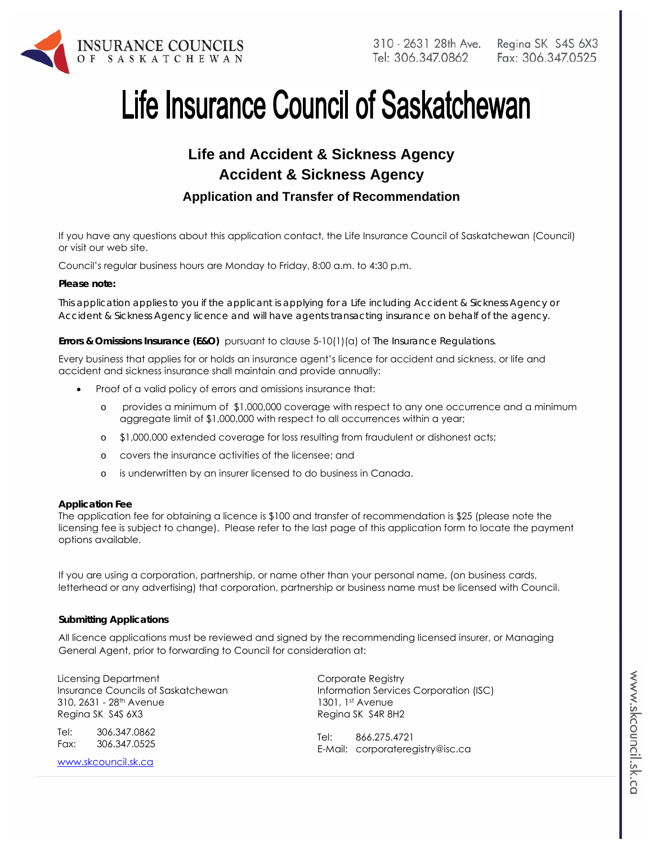

# Life Insurance Council of Saskatchewan

## **Life and Accident & Sickness Agency Accident & Sickness Agency Application and Transfer of Recommendation**

If you have any questions about this application contact, the Life Insurance Council of Saskatchewan (Council) or visit our web site.

Council's regular business hours are Monday to Friday, 8:00 a.m. to 4:30 p.m.

#### *Please note:*

*This application applies to you if the applicant is applying for a Life including Accident & Sickness Agency or Accident & Sickness Agency licence and will have agents transacting insurance on behalf of the agency.* 

**Errors & Omissions Insurance (E&O)** pursuant to clause 5-10(1)(a) of *The Insurance Regulations.* 

Every business that applies for or holds an insurance agent's licence for accident and sickness, or life and accident and sickness insurance shall maintain and provide annually:

- Proof of a valid policy of errors and omissions insurance that:
	- o provides a minimum of \$1,000,000 coverage with respect to any one occurrence and a minimum aggregate limit of \$1,000,000 with respect to all occurrences within a year;
	- o \$1,000,000 extended coverage for loss resulting from fraudulent or dishonest acts;
	- o covers the insurance activities of the licensee; and
	- o is underwritten by an insurer licensed to do business in Canada.

#### **Application Fee**

The application fee for obtaining a licence is \$100 and transfer of recommendation is \$25 (please note the licensing fee is subject to change). Please refer to the last page of this application form to locate the payment options available.

If you are using a corporation, partnership, or name other than your personal name, (on business cards, letterhead or any advertising) that corporation, partnership or business name must be licensed with Council.

#### **Submitting Applications**

All licence applications must be reviewed and signed by the recommending licensed insurer, or Managing General Agent, prior to forwarding to Council for consideration at:

Licensing Department Insurance Councils of Saskatchewan 310, 2631 - 28th Avenue Regina SK S4S 6X3

Tel: 306.347.0862 Fax: 306.347.0525

www.skcouncil.sk.ca

Corporate Registry Information Services Corporation (ISC) 1301, 1st Avenue Regina SK S4R 8H2

Tel: 866.275.4721 E-Mail: corporateregistry@isc.ca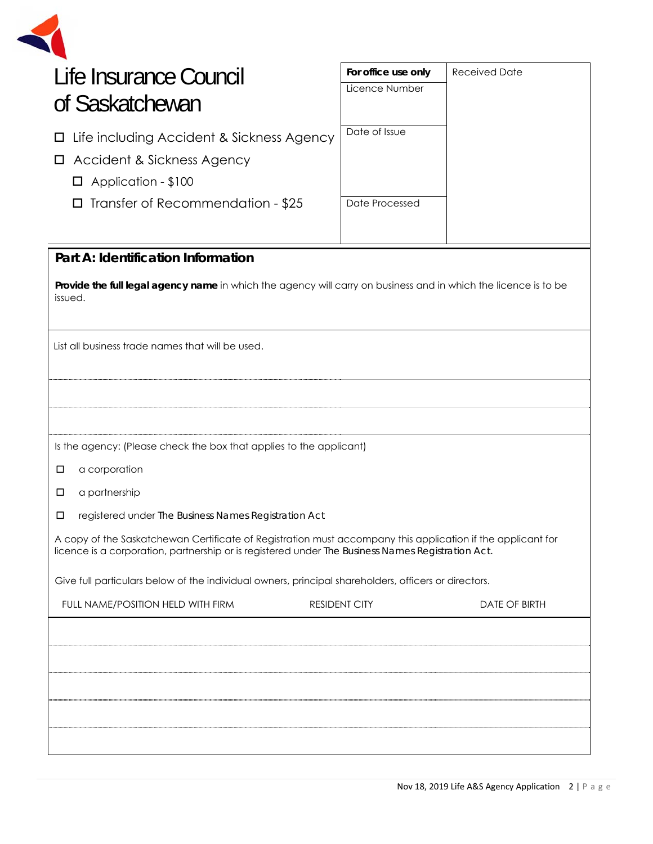| Life Insurance Council |  |
|------------------------|--|

| Life Insurance Council<br>of Saskatchewan                                                                                                                                                                        | For office use only<br>Licence Number | <b>Received Date</b> |  |
|------------------------------------------------------------------------------------------------------------------------------------------------------------------------------------------------------------------|---------------------------------------|----------------------|--|
| Life including Accident & Sickness Agency<br>$\Box$<br>Accident & Sickness Agency<br>$\Box$<br>Application - \$100<br>ப                                                                                          | Date of Issue                         |                      |  |
| Transfer of Recommendation - \$25<br>□                                                                                                                                                                           | Date Processed                        |                      |  |
| Part A: Identification Information                                                                                                                                                                               |                                       |                      |  |
| Provide the full legal agency name in which the agency will carry on business and in which the licence is to be<br>issued.                                                                                       |                                       |                      |  |
| List all business trade names that will be used.                                                                                                                                                                 |                                       |                      |  |
|                                                                                                                                                                                                                  |                                       |                      |  |
| Is the agency: (Please check the box that applies to the applicant)<br>a corporation<br>□                                                                                                                        |                                       |                      |  |
| a partnership<br>□                                                                                                                                                                                               |                                       |                      |  |
| registered under The Business Names Registration Act<br>◻                                                                                                                                                        |                                       |                      |  |
| A copy of the Saskatchewan Certificate of Registration must accompany this application if the applicant for<br>licence is a corporation, partnership or is registered under The Business Names Registration Act. |                                       |                      |  |
| Give full particulars below of the individual owners, principal shareholders, officers or directors.                                                                                                             |                                       |                      |  |
| FULL NAME/POSITION HELD WITH FIRM                                                                                                                                                                                | <b>RESIDENT CITY</b>                  | <b>DATE OF BIRTH</b> |  |
|                                                                                                                                                                                                                  |                                       |                      |  |
|                                                                                                                                                                                                                  |                                       |                      |  |
|                                                                                                                                                                                                                  |                                       |                      |  |
|                                                                                                                                                                                                                  |                                       |                      |  |
|                                                                                                                                                                                                                  |                                       |                      |  |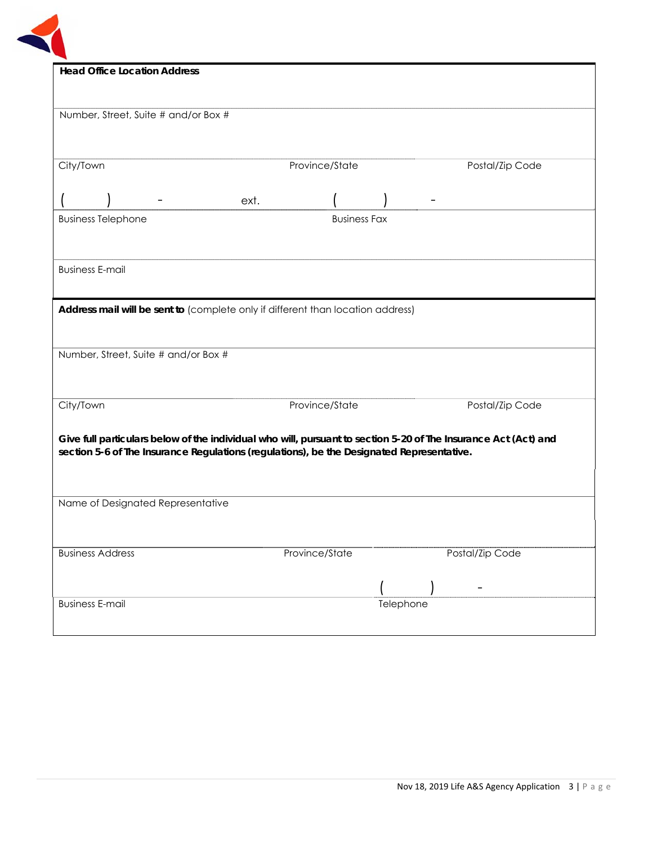

| <b>Head Office Location Address</b>                                                                             |                     |                 |  |
|-----------------------------------------------------------------------------------------------------------------|---------------------|-----------------|--|
|                                                                                                                 |                     |                 |  |
| Number, Street, Suite # and/or Box #                                                                            |                     |                 |  |
|                                                                                                                 |                     |                 |  |
|                                                                                                                 |                     |                 |  |
| City/Town                                                                                                       | Province/State      | Postal/Zip Code |  |
|                                                                                                                 | ext.                |                 |  |
| <b>Business Telephone</b>                                                                                       | <b>Business Fax</b> |                 |  |
|                                                                                                                 |                     |                 |  |
|                                                                                                                 |                     |                 |  |
| <b>Business E-mail</b>                                                                                          |                     |                 |  |
|                                                                                                                 |                     |                 |  |
| Address mail will be sent to (complete only if different than location address)                                 |                     |                 |  |
|                                                                                                                 |                     |                 |  |
| Number, Street, Suite # and/or Box #                                                                            |                     |                 |  |
|                                                                                                                 |                     |                 |  |
| City/Town                                                                                                       | Province/State      | Postal/Zip Code |  |
|                                                                                                                 |                     |                 |  |
| Give full particulars below of the individual who will, pursuant to section 5-20 of The Insurance Act (Act) and |                     |                 |  |
| section 5-6 of The Insurance Regulations (regulations), be the Designated Representative.                       |                     |                 |  |
|                                                                                                                 |                     |                 |  |
| Name of Designated Representative                                                                               |                     |                 |  |
|                                                                                                                 |                     |                 |  |
|                                                                                                                 |                     |                 |  |
| <b>Business Address</b>                                                                                         | Province/State      | Postal/Zip Code |  |
|                                                                                                                 |                     |                 |  |
| <b>Business E-mail</b>                                                                                          |                     | Telephone       |  |
|                                                                                                                 |                     |                 |  |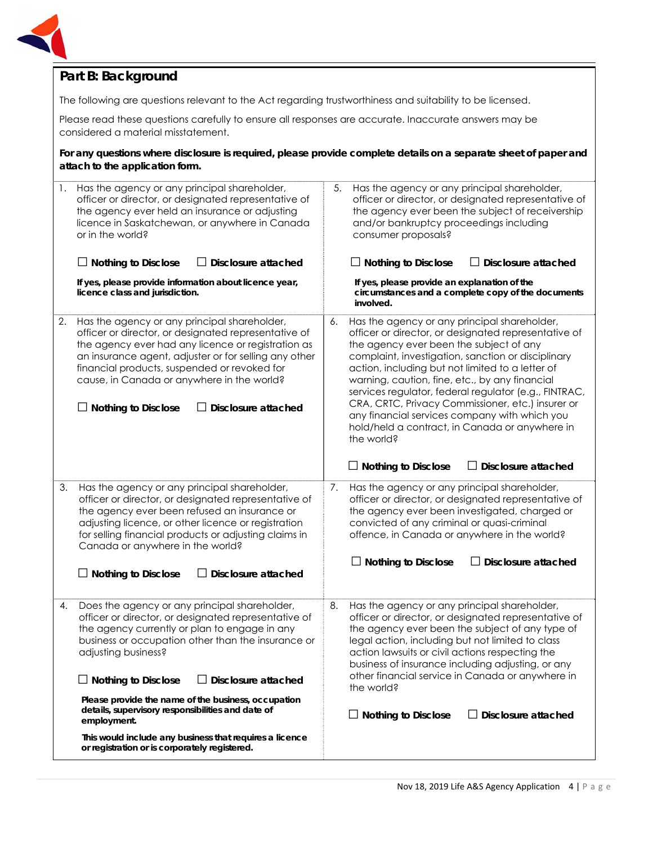

## **Part B: Background**

The following are questions relevant to the Act regarding trustworthiness and suitability to be licensed.

Please read these questions carefully to ensure all responses are accurate. Inaccurate answers may be considered a material misstatement.

**For any questions where disclosure is required, please provide complete details on a separate sheet of paper and attach to the application form.**

| 1. | Has the agency or any principal shareholder,<br>officer or director, or designated representative of<br>the agency ever held an insurance or adjusting<br>licence in Saskatchewan, or anywhere in Canada<br>or in the world?<br>$\Box$ Nothing to Disclose<br>Disclosure attached<br>If yes, please provide information about licence year,<br>licence class and jurisdiction.                                                                                                                                                         | 5.<br>Has the agency or any principal shareholder,<br>officer or director, or designated representative of<br>the agency ever been the subject of receivership<br>and/or bankruptcy proceedings including<br>consumer proposals?<br>$\Box$ Nothing to Disclose<br>Disclosure attached<br>$\sqcup$<br>If yes, please provide an explanation of the<br>circumstances and a complete copy of the documents<br>involved.                                                                                                                                                                                         |
|----|----------------------------------------------------------------------------------------------------------------------------------------------------------------------------------------------------------------------------------------------------------------------------------------------------------------------------------------------------------------------------------------------------------------------------------------------------------------------------------------------------------------------------------------|--------------------------------------------------------------------------------------------------------------------------------------------------------------------------------------------------------------------------------------------------------------------------------------------------------------------------------------------------------------------------------------------------------------------------------------------------------------------------------------------------------------------------------------------------------------------------------------------------------------|
| 2. | Has the agency or any principal shareholder,<br>officer or director, or designated representative of<br>the agency ever had any licence or registration as<br>an insurance agent, adjuster or for selling any other<br>financial products, suspended or revoked for<br>cause, in Canada or anywhere in the world?<br>$\Box$ Nothing to Disclose<br>Disclosure attached                                                                                                                                                                 | Has the agency or any principal shareholder,<br>6.<br>officer or director, or designated representative of<br>the agency ever been the subject of any<br>complaint, investigation, sanction or disciplinary<br>action, including but not limited to a letter of<br>warning, caution, fine, etc., by any financial<br>services regulator, federal regulator (e.g., FINTRAC,<br>CRA, CRTC, Privacy Commissioner, etc.) insurer or<br>any financial services company with which you<br>hold/held a contract, in Canada or anywhere in<br>the world?<br>$\Box$ Disclosure attached<br>$\Box$ Nothing to Disclose |
| 3. | Has the agency or any principal shareholder,<br>officer or director, or designated representative of<br>the agency ever been refused an insurance or<br>adjusting licence, or other licence or registration<br>for selling financial products or adjusting claims in<br>Canada or anywhere in the world?<br>$\Box$ Nothing to Disclose<br><b>Disclosure attached</b>                                                                                                                                                                   | Has the agency or any principal shareholder,<br>7.<br>officer or director, or designated representative of<br>the agency ever been investigated, charged or<br>convicted of any criminal or quasi-criminal<br>offence, in Canada or anywhere in the world?<br><b>Nothing to Disclose</b><br><b>Disclosure attached</b>                                                                                                                                                                                                                                                                                       |
| 4. | Does the agency or any principal shareholder,<br>officer or director, or designated representative of<br>the agency currently or plan to engage in any<br>business or occupation other than the insurance or<br>adjusting business?<br>$\Box$ Nothing to Disclose<br>$\Box$ Disclosure attached<br>Please provide the name of the business, occupation<br>details, supervisory responsibilities and date of<br>employment.<br>This would include any business that requires a licence<br>or registration or is corporately registered. | 8.<br>Has the agency or any principal shareholder,<br>officer or director, or designated representative of<br>the agency ever been the subject of any type of<br>legal action, including but not limited to class<br>action lawsuits or civil actions respecting the<br>business of insurance including adjusting, or any<br>other financial service in Canada or anywhere in<br>the world?<br><b>Nothing to Disclose</b><br><b>Disclosure attached</b>                                                                                                                                                      |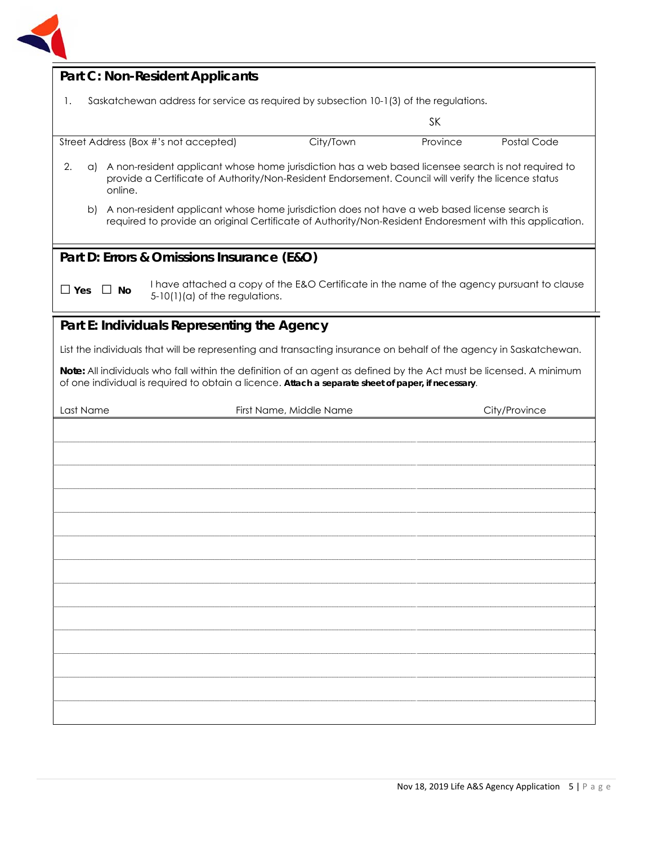

| <b>Part C: Non-Resident Applicants</b>                                                                                                                                                                                         |                                                                                        |           |                                                                                            |               |
|--------------------------------------------------------------------------------------------------------------------------------------------------------------------------------------------------------------------------------|----------------------------------------------------------------------------------------|-----------|--------------------------------------------------------------------------------------------|---------------|
| 1.                                                                                                                                                                                                                             | Saskatchewan address for service as required by subsection 10-1(3) of the regulations. |           |                                                                                            |               |
|                                                                                                                                                                                                                                |                                                                                        |           | <b>SK</b>                                                                                  |               |
| Street Address (Box #'s not accepted)                                                                                                                                                                                          |                                                                                        | City/Town | Province                                                                                   | Postal Code   |
| 2.<br>a) A non-resident applicant whose home jurisdiction has a web based licensee search is not required to<br>provide a Certificate of Authority/Non-Resident Endorsement. Council will verify the licence status<br>online. |                                                                                        |           |                                                                                            |               |
| A non-resident applicant whose home jurisdiction does not have a web based license search is<br>b)<br>required to provide an original Certificate of Authority/Non-Resident Endoresment with this application.                 |                                                                                        |           |                                                                                            |               |
| Part D: Errors & Omissions Insurance (E&O)                                                                                                                                                                                     |                                                                                        |           |                                                                                            |               |
| $\Box$ Yes<br>$\Box$ No<br>$5-10(1)(a)$ of the regulations.                                                                                                                                                                    |                                                                                        |           | I have attached a copy of the E&O Certificate in the name of the agency pursuant to clause |               |
| Part E: Individuals Representing the Agency                                                                                                                                                                                    |                                                                                        |           |                                                                                            |               |
| List the individuals that will be representing and transacting insurance on behalf of the agency in Saskatchewan.                                                                                                              |                                                                                        |           |                                                                                            |               |
| Note: All individuals who fall within the definition of an agent as defined by the Act must be licensed. A minimum<br>of one individual is required to obtain a licence. Attach a separate sheet of paper, if necessary.       |                                                                                        |           |                                                                                            |               |
| Last Name                                                                                                                                                                                                                      | First Name, Middle Name                                                                |           |                                                                                            | City/Province |
|                                                                                                                                                                                                                                |                                                                                        |           |                                                                                            |               |
|                                                                                                                                                                                                                                |                                                                                        |           |                                                                                            |               |
|                                                                                                                                                                                                                                |                                                                                        |           |                                                                                            |               |
|                                                                                                                                                                                                                                |                                                                                        |           |                                                                                            |               |
|                                                                                                                                                                                                                                |                                                                                        |           |                                                                                            |               |
|                                                                                                                                                                                                                                |                                                                                        |           |                                                                                            |               |
|                                                                                                                                                                                                                                |                                                                                        |           |                                                                                            |               |
|                                                                                                                                                                                                                                |                                                                                        |           |                                                                                            |               |
|                                                                                                                                                                                                                                |                                                                                        |           |                                                                                            |               |
|                                                                                                                                                                                                                                |                                                                                        |           |                                                                                            |               |
|                                                                                                                                                                                                                                |                                                                                        |           |                                                                                            |               |
|                                                                                                                                                                                                                                |                                                                                        |           |                                                                                            |               |
|                                                                                                                                                                                                                                |                                                                                        |           |                                                                                            |               |
|                                                                                                                                                                                                                                |                                                                                        |           |                                                                                            |               |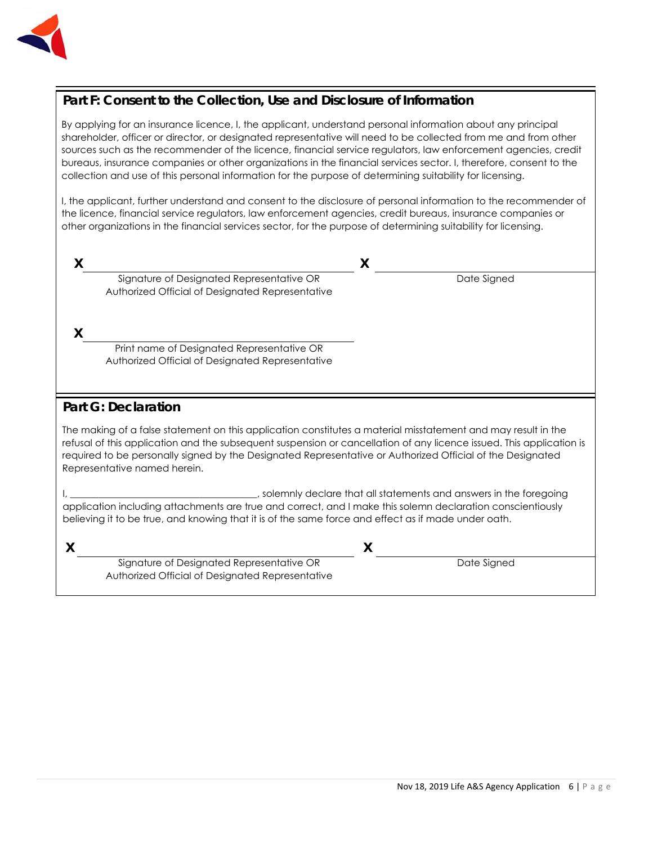

## **Part F: Consent to the Collection, Use and Disclosure of Information**

By applying for an insurance licence, I, the applicant, understand personal information about any principal shareholder, officer or director, or designated representative will need to be collected from me and from other sources such as the recommender of the licence, financial service regulators, law enforcement agencies, credit bureaus, insurance companies or other organizations in the financial services sector. I, therefore, consent to the collection and use of this personal information for the purpose of determining suitability for licensing.

I, the applicant, further understand and consent to the disclosure of personal information to the recommender of the licence, financial service regulators, law enforcement agencies, credit bureaus, insurance companies or other organizations in the financial services sector, for the purpose of determining suitability for licensing.

|                                                                                                                                                                                                                                                                                                                                                                                     |                                                                                                | X           |  |  |
|-------------------------------------------------------------------------------------------------------------------------------------------------------------------------------------------------------------------------------------------------------------------------------------------------------------------------------------------------------------------------------------|------------------------------------------------------------------------------------------------|-------------|--|--|
|                                                                                                                                                                                                                                                                                                                                                                                     | Signature of Designated Representative OR<br>Authorized Official of Designated Representative  | Date Signed |  |  |
|                                                                                                                                                                                                                                                                                                                                                                                     |                                                                                                |             |  |  |
| X                                                                                                                                                                                                                                                                                                                                                                                   |                                                                                                |             |  |  |
|                                                                                                                                                                                                                                                                                                                                                                                     | Print name of Designated Representative OR<br>Authorized Official of Designated Representative |             |  |  |
|                                                                                                                                                                                                                                                                                                                                                                                     |                                                                                                |             |  |  |
|                                                                                                                                                                                                                                                                                                                                                                                     | <b>Part G: Declaration</b>                                                                     |             |  |  |
| The making of a false statement on this application constitutes a material misstatement and may result in the<br>refusal of this application and the subsequent suspension or cancellation of any licence issued. This application is<br>required to be personally signed by the Designated Representative or Authorized Official of the Designated<br>Representative named herein. |                                                                                                |             |  |  |
| , solemnly declare that all statements and answers in the foregoing<br>application including attachments are true and correct, and I make this solemn declaration conscientiously<br>believing it to be true, and knowing that it is of the same force and effect as if made under oath.                                                                                            |                                                                                                |             |  |  |
|                                                                                                                                                                                                                                                                                                                                                                                     |                                                                                                | X           |  |  |
|                                                                                                                                                                                                                                                                                                                                                                                     | Signature of Designated Representative OR<br>Authorized Official of Designated Representative  | Date Signed |  |  |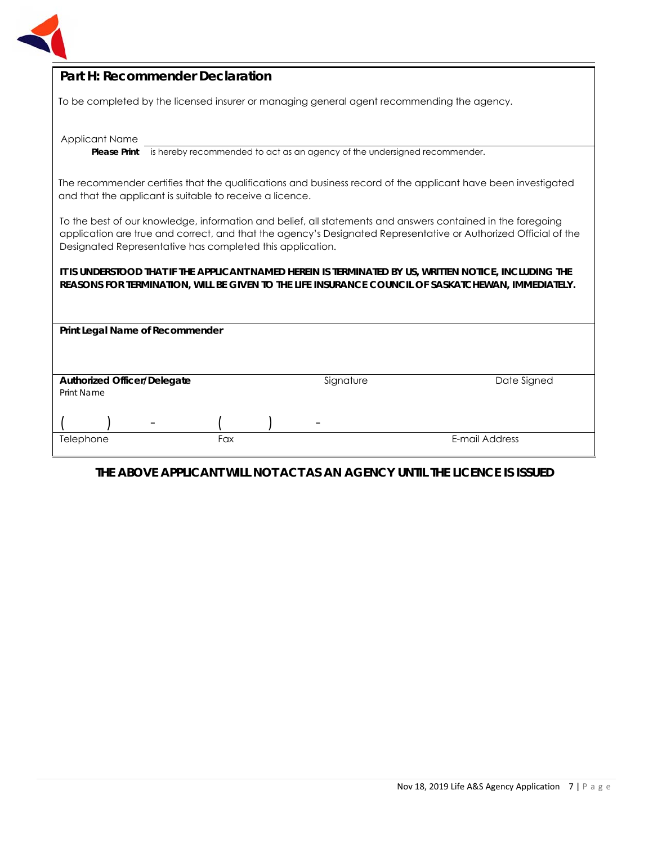

| Part H: Recommender Declaration                                                                                                                                                                                                                                                             |  |  |  |
|---------------------------------------------------------------------------------------------------------------------------------------------------------------------------------------------------------------------------------------------------------------------------------------------|--|--|--|
| To be completed by the licensed insurer or managing general agent recommending the agency.                                                                                                                                                                                                  |  |  |  |
|                                                                                                                                                                                                                                                                                             |  |  |  |
| <b>Applicant Name</b><br>is hereby recommended to act as an agency of the undersigned recommender.<br><b>Please Print</b>                                                                                                                                                                   |  |  |  |
|                                                                                                                                                                                                                                                                                             |  |  |  |
| The recommender certifies that the qualifications and business record of the applicant have been investigated<br>and that the applicant is suitable to receive a licence.                                                                                                                   |  |  |  |
| To the best of our knowledge, information and belief, all statements and answers contained in the foregoing<br>application are true and correct, and that the agency's Designated Representative or Authorized Official of the<br>Designated Representative has completed this application. |  |  |  |
| It is understood that if the applicant named herein is terminated by US, written notice, including the<br>REASONS FOR TERMINATION, WILL BE GIVEN TO THE LIFE INSURANCE COUNCIL OF SASKATCHEWAN, IMMEDIATELY.                                                                                |  |  |  |
| Print Legal Name of Recommender                                                                                                                                                                                                                                                             |  |  |  |
|                                                                                                                                                                                                                                                                                             |  |  |  |
|                                                                                                                                                                                                                                                                                             |  |  |  |
| <b>Authorized Officer/Delegate</b><br>Signature<br>Date Signed<br>Print Name                                                                                                                                                                                                                |  |  |  |
|                                                                                                                                                                                                                                                                                             |  |  |  |
| E-mail Address<br>Fax<br>Telephone                                                                                                                                                                                                                                                          |  |  |  |
|                                                                                                                                                                                                                                                                                             |  |  |  |

## **THE ABOVE APPLICANT WILL NOT ACT AS AN AGENCY UNTIL THE LICENCE IS ISSUED**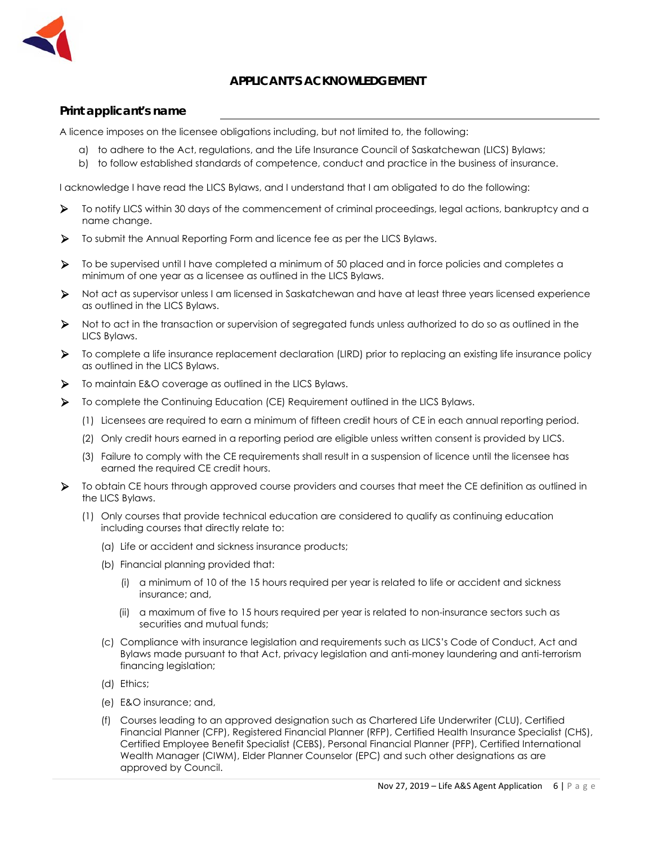

### **APPLICANT'S ACKNOWLEDGEMENT**

#### **Print applicant's name**

A licence imposes on the licensee obligations including, but not limited to, the following:

- a) to adhere to the Act, regulations, and the Life Insurance Council of Saskatchewan (LICS) Bylaws;
- b) to follow established standards of competence, conduct and practice in the business of insurance.

I acknowledge I have read the LICS Bylaws, and I understand that I am obligated to do the following:

- To notify LICS within 30 days of the commencement of criminal proceedings, legal actions, bankruptcy and a name change.
- To submit the Annual Reporting Form and licence fee as per the LICS Bylaws.
- To be supervised until I have completed a minimum of 50 placed and in force policies and completes a minimum of one year as a licensee as outlined in the LICS Bylaws.
- Not act as supervisor unless I am licensed in Saskatchewan and have at least three years licensed experience as outlined in the LICS Bylaws.
- Not to act in the transaction or supervision of segregated funds unless authorized to do so as outlined in the LICS Bylaws.
- To complete a life insurance replacement declaration (LIRD) prior to replacing an existing life insurance policy as outlined in the LICS Bylaws.
- $\triangleright$  To maintain E&O coverage as outlined in the LICS Bylaws.
- To complete the Continuing Education (CE) Requirement outlined in the LICS Bylaws.
	- (1) Licensees are required to earn a minimum of fifteen credit hours of CE in each annual reporting period.
	- (2) Only credit hours earned in a reporting period are eligible unless written consent is provided by LICS.
	- (3) Failure to comply with the CE requirements shall result in a suspension of licence until the licensee has earned the required CE credit hours.
- To obtain CE hours through approved course providers and courses that meet the CE definition as outlined in the LICS Bylaws.
	- (1) Only courses that provide technical education are considered to qualify as continuing education including courses that directly relate to:
		- (a) Life or accident and sickness insurance products;
		- (b) Financial planning provided that:
			- (i) a minimum of 10 of the 15 hours required per year is related to life or accident and sickness insurance; and,
			- (ii) a maximum of five to 15 hours required per year is related to non-insurance sectors such as securities and mutual funds;
		- (c) Compliance with insurance legislation and requirements such as LICS's Code of Conduct, Act and Bylaws made pursuant to that Act, privacy legislation and anti-money laundering and anti-terrorism financing legislation;
		- (d) Ethics;
		- (e) E&O insurance; and,
		- (f) Courses leading to an approved designation such as Chartered Life Underwriter (CLU), Certified Financial Planner (CFP), Registered Financial Planner (RFP), Certified Health Insurance Specialist (CHS), Certified Employee Benefit Specialist (CEBS), Personal Financial Planner (PFP), Certified International Wealth Manager (CIWM), Elder Planner Counselor (EPC) and such other designations as are approved by Council.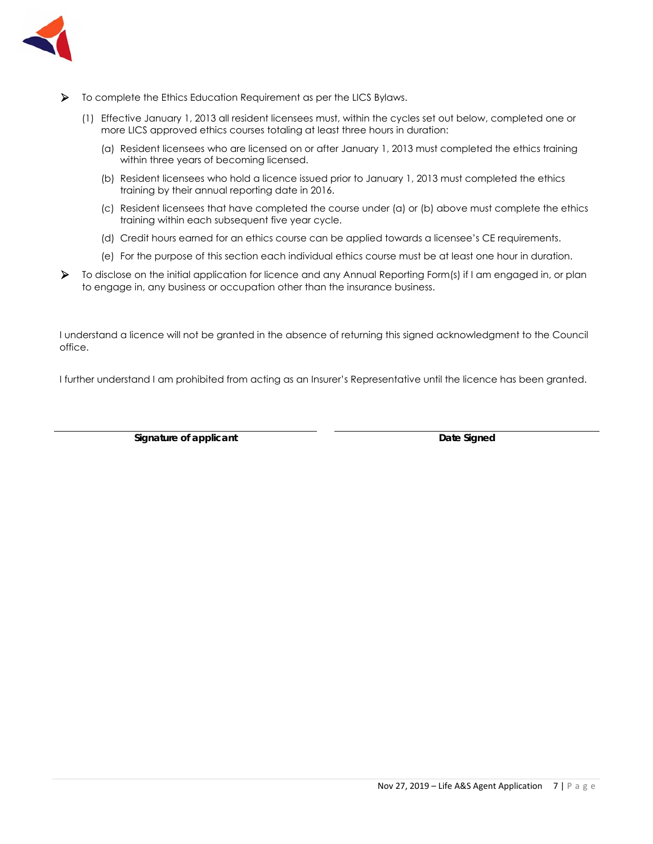

- To complete the Ethics Education Requirement as per the LICS Bylaws.
	- (1) Effective January 1, 2013 all resident licensees must, within the cycles set out below, completed one or more LICS approved ethics courses totaling at least three hours in duration:
		- (a) Resident licensees who are licensed on or after January 1, 2013 must completed the ethics training within three years of becoming licensed.
		- (b) Resident licensees who hold a licence issued prior to January 1, 2013 must completed the ethics training by their annual reporting date in 2016.
		- (c) Resident licensees that have completed the course under (a) or (b) above must complete the ethics training within each subsequent five year cycle.
		- (d) Credit hours earned for an ethics course can be applied towards a licensee's CE requirements.
		- (e) For the purpose of this section each individual ethics course must be at least one hour in duration.
- To disclose on the initial application for licence and any Annual Reporting Form(s) if I am engaged in, or plan to engage in, any business or occupation other than the insurance business.

I understand a licence will not be granted in the absence of returning this signed acknowledgment to the Council office.

I further understand I am prohibited from acting as an Insurer's Representative until the licence has been granted.

**Signature of applicant Community Community Community Community Community Community Community Community Community Community Community Community Community Community Community Community Community Community Community Communit**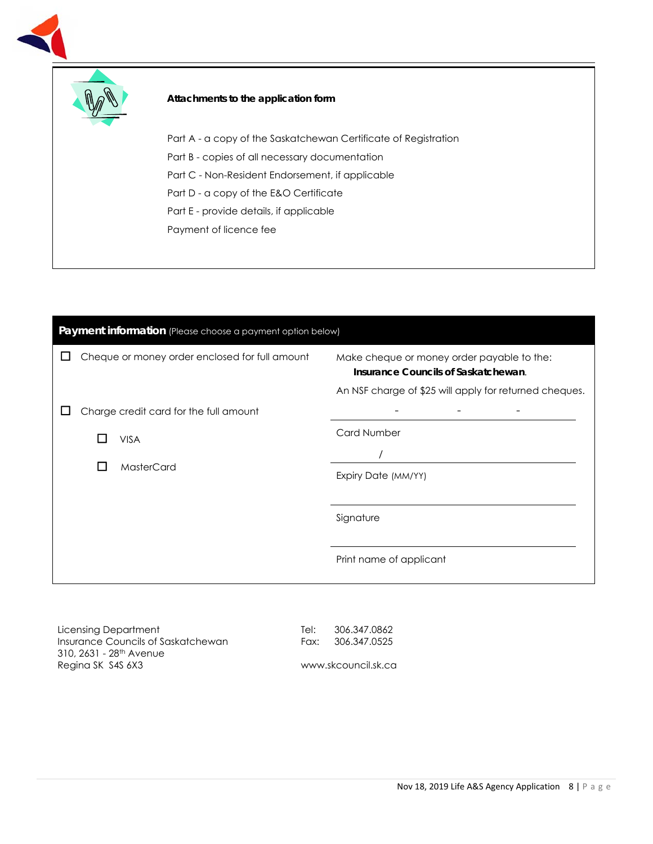



#### **Attachments to the application form**

Part A - a copy of the Saskatchewan Certificate of Registration

Part B - copies of all necessary documentation

Part C - Non-Resident Endorsement, if applicable

Part D - a copy of the E&O Certificate

Part E - provide details, if applicable

Payment of licence fee



Licensing Department Insurance Councils of Saskatchewan 310, 2631 - 28th Avenue Regina SK S4S 6X3

Tel: 306.347.0862 Fax: 306.347.0525

www.skcouncil.sk.ca